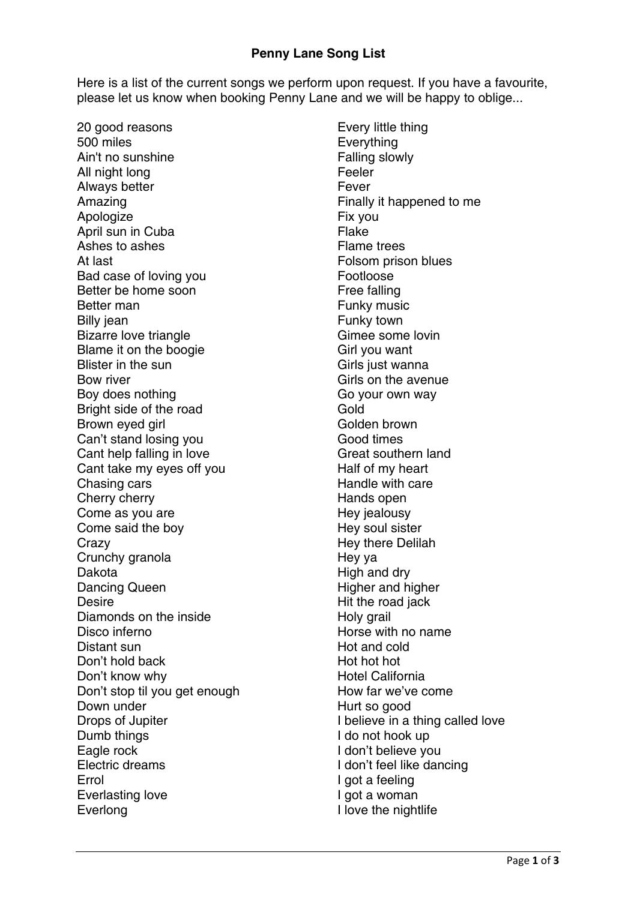## **Penny Lane Song List**

Here is a list of the current songs we perform upon request. If you have a favourite, please let us know when booking Penny Lane and we will be happy to oblige...

20 good reasons 500 miles Ain't no sunshine All night long Always better Amazing Apologize April sun in Cuba Ashes to ashes At last Bad case of loving you Better be home soon Better man Billy jean Bizarre love triangle Blame it on the boogie Blister in the sun Bow river Boy does nothing Bright side of the road Brown eyed girl Can't stand losing you Cant help falling in love Cant take my eyes off you Chasing cars Cherry cherry Come as you are Come said the boy Crazy Crunchy granola Dakota Dancing Queen Desire Diamonds on the inside Disco inferno Distant sun Don't hold back Don't know why Don't stop til you get enough Down under Drops of Jupiter Dumb things Eagle rock Electric dreams Errol Everlasting love Everlong

Every little thing Everything Falling slowly Feeler Fever Finally it happened to me Fix you Flake Flame trees Folsom prison blues Footloose Free falling Funky music Funky town Gimee some lovin Girl you want Girls just wanna Girls on the avenue Go your own way Gold Golden brown Good times Great southern land Half of my heart Handle with care Hands open Hey jealousy Hey soul sister Hey there Delilah Hey ya High and dry Higher and higher Hit the road jack Holy grail Horse with no name Hot and cold Hot hot hot Hotel California How far we've come Hurt so good I believe in a thing called love I do not hook up I don't believe you I don't feel like dancing I got a feeling I got a woman I love the nightlife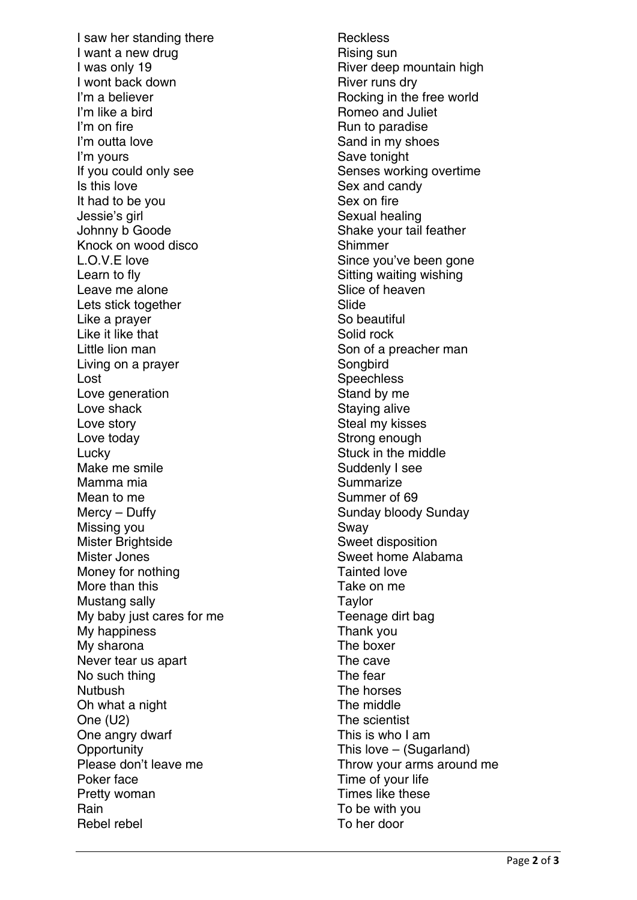I saw her standing there I want a new drug I was only 19 I wont back down I'm a believer I'm like a bird I'm on fire I'm outta love I'm yours If you could only see Is this love It had to be you Jessie's girl Johnny b Goode Knock on wood disco L.O.V.E love Learn to fly Leave me alone Lets stick together Like a prayer Like it like that Little lion man Living on a prayer Lost Love generation Love shack Love story Love today Lucky Make me smile Mamma mia Mean to me Mercy – Duffy Missing you Mister Brightside Mister Jones Money for nothing More than this Mustang sally My baby just cares for me My happiness My sharona Never tear us apart No such thing **Nutbush** Oh what a night One (U2) One angry dwarf **Opportunity** Please don't leave me Poker face Pretty woman **Rain** Rebel rebel

**Reckless** Rising sun River deep mountain high River runs dry Rocking in the free world Romeo and Juliet Run to paradise Sand in my shoes Save tonight Senses working overtime Sex and candy Sex on fire Sexual healing Shake your tail feather **Shimmer** Since you've been gone Sitting waiting wishing Slice of heaven Slide So beautiful Solid rock Son of a preacher man **Songbird Speechless** Stand by me Staying alive Steal my kisses Strong enough Stuck in the middle Suddenly I see **Summarize** Summer of 69 Sunday bloody Sunday Sway Sweet disposition Sweet home Alabama Tainted love Take on me **Taylor** Teenage dirt bag Thank you The boxer The cave The fear The horses The middle The scientist This is who I am This love – (Sugarland) Throw your arms around me Time of your life Times like these To be with you To her door